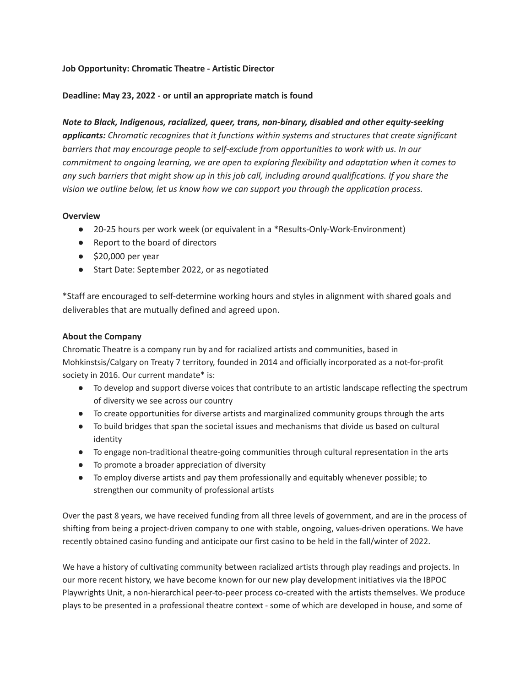# **Job Opportunity: Chromatic Theatre - Artistic Director**

## **Deadline: May 23, 2022 - or until an appropriate match is found**

*Note to Black, Indigenous, racialized, queer, trans, non-binary, disabled and other equity-seeking applicants: Chromatic recognizes that it functions within systems and structures that create significant barriers that may encourage people to self-exclude from opportunities to work with us. In our commitment to ongoing learning, we are open to exploring flexibility and adaptation when it comes to* any such barriers that might show up in this job call, including around qualifications. If you share the *vision we outline below, let us know how we can support you through the application process.*

#### **Overview**

- 20-25 hours per work week (or equivalent in a \*Results-Only-Work-Environment)
- Report to the board of directors
- $\bullet$  \$20,000 per year
- Start Date: September 2022, or as negotiated

\*Staff are encouraged to self-determine working hours and styles in alignment with shared goals and deliverables that are mutually defined and agreed upon.

#### **About the Company**

Chromatic Theatre is a company run by and for racialized artists and communities, based in Mohkinstsis/Calgary on Treaty 7 territory, founded in 2014 and officially incorporated as a not-for-profit society in 2016. Our current mandate\* is:

- To develop and support diverse voices that contribute to an artistic landscape reflecting the spectrum of diversity we see across our country
- To create opportunities for diverse artists and marginalized community groups through the arts
- To build bridges that span the societal issues and mechanisms that divide us based on cultural identity
- To engage non-traditional theatre-going communities through cultural representation in the arts
- To promote a broader appreciation of diversity
- To employ diverse artists and pay them professionally and equitably whenever possible; to strengthen our community of professional artists

Over the past 8 years, we have received funding from all three levels of government, and are in the process of shifting from being a project-driven company to one with stable, ongoing, values-driven operations. We have recently obtained casino funding and anticipate our first casino to be held in the fall/winter of 2022.

We have a history of cultivating community between racialized artists through play readings and projects. In our more recent history, we have become known for our new play development initiatives via the IBPOC Playwrights Unit, a non-hierarchical peer-to-peer process co-created with the artists themselves. We produce plays to be presented in a professional theatre context - some of which are developed in house, and some of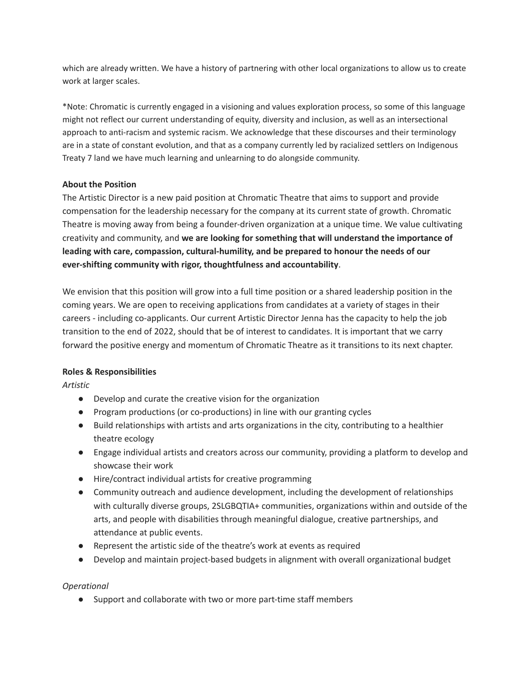which are already written. We have a history of partnering with other local organizations to allow us to create work at larger scales.

\*Note: Chromatic is currently engaged in a visioning and values exploration process, so some of this language might not reflect our current understanding of equity, diversity and inclusion, as well as an intersectional approach to anti-racism and systemic racism. We acknowledge that these discourses and their terminology are in a state of constant evolution, and that as a company currently led by racialized settlers on Indigenous Treaty 7 land we have much learning and unlearning to do alongside community.

# **About the Position**

The Artistic Director is a new paid position at Chromatic Theatre that aims to support and provide compensation for the leadership necessary for the company at its current state of growth. Chromatic Theatre is moving away from being a founder-driven organization at a unique time. We value cultivating creativity and community, and **we are looking for something that will understand the importance of leading with care, compassion, cultural-humility, and be prepared to honour the needs of our ever-shifting community with rigor, thoughtfulness and accountability**.

We envision that this position will grow into a full time position or a shared leadership position in the coming years. We are open to receiving applications from candidates at a variety of stages in their careers - including co-applicants. Our current Artistic Director Jenna has the capacity to help the job transition to the end of 2022, should that be of interest to candidates. It is important that we carry forward the positive energy and momentum of Chromatic Theatre as it transitions to its next chapter.

# **Roles & Responsibilities**

*Artistic*

- Develop and curate the creative vision for the organization
- Program productions (or co-productions) in line with our granting cycles
- Build relationships with artists and arts organizations in the city, contributing to a healthier theatre ecology
- Engage individual artists and creators across our community, providing a platform to develop and showcase their work
- Hire/contract individual artists for creative programming
- Community outreach and audience development, including the development of relationships with culturally diverse groups, 2SLGBQTIA+ communities, organizations within and outside of the arts, and people with disabilities through meaningful dialogue, creative partnerships, and attendance at public events.
- Represent the artistic side of the theatre's work at events as required
- Develop and maintain project-based budgets in alignment with overall organizational budget

### *Operational*

● Support and collaborate with two or more part-time staff members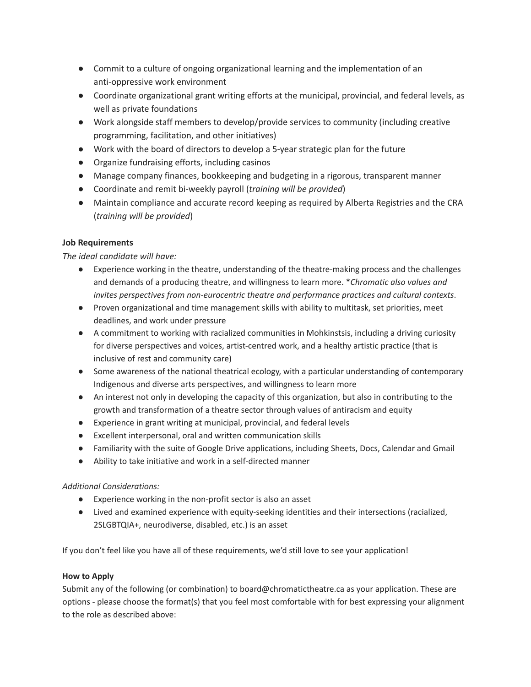- Commit to a culture of ongoing organizational learning and the implementation of an anti-oppressive work environment
- Coordinate organizational grant writing efforts at the municipal, provincial, and federal levels, as well as private foundations
- Work alongside staff members to develop/provide services to community (including creative programming, facilitation, and other initiatives)
- Work with the board of directors to develop a 5-year strategic plan for the future
- Organize fundraising efforts, including casinos
- Manage company finances, bookkeeping and budgeting in a rigorous, transparent manner
- Coordinate and remit bi-weekly payroll (*training will be provided*)
- Maintain compliance and accurate record keeping as required by Alberta Registries and the CRA (*training will be provided*)

# **Job Requirements**

*The ideal candidate will have:*

- Experience working in the theatre, understanding of the theatre-making process and the challenges and demands of a producing theatre, and willingness to learn more. \**Chromatic also values and invites perspectives from non-eurocentric theatre and performance practices and cultural contexts*.
- Proven organizational and time management skills with ability to multitask, set priorities, meet deadlines, and work under pressure
- A commitment to working with racialized communities in Mohkinstsis, including a driving curiosity for diverse perspectives and voices, artist-centred work, and a healthy artistic practice (that is inclusive of rest and community care)
- Some awareness of the national theatrical ecology, with a particular understanding of contemporary Indigenous and diverse arts perspectives, and willingness to learn more
- An interest not only in developing the capacity of this organization, but also in contributing to the growth and transformation of a theatre sector through values of antiracism and equity
- Experience in grant writing at municipal, provincial, and federal levels
- Excellent interpersonal, oral and written communication skills
- Familiarity with the suite of Google Drive applications, including Sheets, Docs, Calendar and Gmail
- Ability to take initiative and work in a self-directed manner

### *Additional Considerations:*

- Experience working in the non-profit sector is also an asset
- Lived and examined experience with equity-seeking identities and their intersections (racialized, 2SLGBTQIA+, neurodiverse, disabled, etc.) is an asset

If you don't feel like you have all of these requirements, we'd still love to see your application!

### **How to Apply**

Submit any of the following (or combination) to board@chromatictheatre.ca as your application. These are options - please choose the format(s) that you feel most comfortable with for best expressing your alignment to the role as described above: